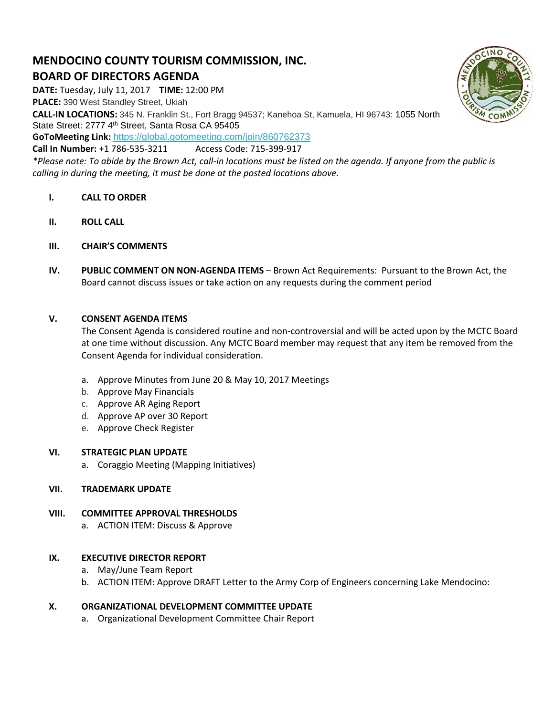# **MENDOCINO COUNTY TOURISM COMMISSION, INC. BOARD OF DIRECTORS AGENDA**

**DATE:** Tuesday, July 11, 2017 **TIME:** 12:00 PM **PLACE:** 390 West Standley Street, Ukiah **CALL-IN LOCATIONS:** 345 N. Franklin St., Fort Bragg 94537; Kanehoa St, Kamuela, HI 96743: 1055 North State Street: 2777 4<sup>th</sup> Street, Santa Rosa CA 95405 **GoToMeeting Link:** <https://global.gotomeeting.com/join/860762373>

**Call In Number:** +1 786-535-3211 Access Code: 715-399-917

*\*Please note: To abide by the Brown Act, call-in locations must be listed on the agenda. If anyone from the public is calling in during the meeting, it must be done at the posted locations above.*

- **I. CALL TO ORDER**
- **II. ROLL CALL**
- **III. CHAIR'S COMMENTS**
- **IV. PUBLIC COMMENT ON NON-AGENDA ITEMS** Brown Act Requirements: Pursuant to the Brown Act, the Board cannot discuss issues or take action on any requests during the comment period

## **V. CONSENT AGENDA ITEMS**

The Consent Agenda is considered routine and non-controversial and will be acted upon by the MCTC Board at one time without discussion. Any MCTC Board member may request that any item be removed from the Consent Agenda for individual consideration.

- a. Approve Minutes from June 20 & May 10, 2017 Meetings
- b. Approve May Financials
- c. Approve AR Aging Report
- d. Approve AP over 30 Report
- e. Approve Check Register

## **VI. STRATEGIC PLAN UPDATE**

a. Coraggio Meeting (Mapping Initiatives)

## **VII. TRADEMARK UPDATE**

## **VIII. COMMITTEE APPROVAL THRESHOLDS**

a. ACTION ITEM: Discuss & Approve

# **IX. EXECUTIVE DIRECTOR REPORT**

- a. May/June Team Report
- b. ACTION ITEM: Approve DRAFT Letter to the Army Corp of Engineers concerning Lake Mendocino:

## **X. ORGANIZATIONAL DEVELOPMENT COMMITTEE UPDATE**

a. Organizational Development Committee Chair Report